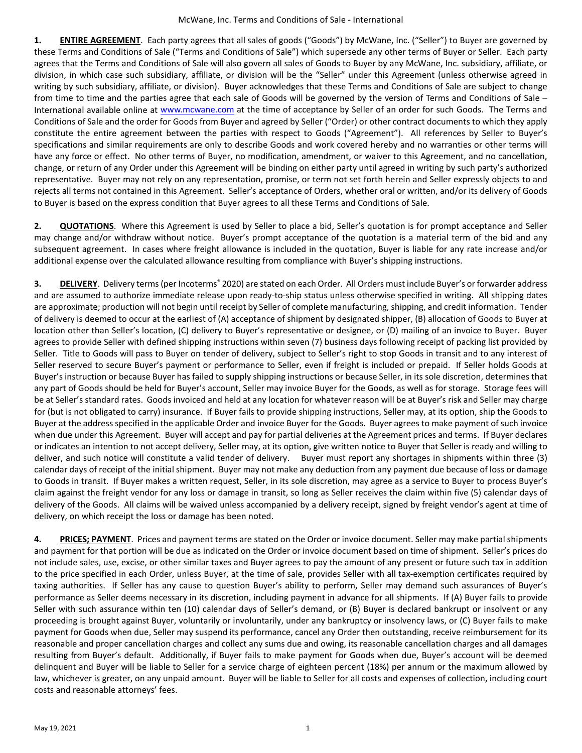**1. ENTIRE AGREEMENT**. Each party agrees that all sales of goods ("Goods") by McWane, Inc. ("Seller") to Buyer are governed by these Terms and Conditions of Sale ("Terms and Conditions of Sale") which supersede any other terms of Buyer or Seller. Each party agrees that the Terms and Conditions of Sale will also govern all sales of Goods to Buyer by any McWane, Inc. subsidiary, affiliate, or division, in which case such subsidiary, affiliate, or division will be the "Seller" under this Agreement (unless otherwise agreed in writing by such subsidiary, affiliate, or division). Buyer acknowledges that these Terms and Conditions of Sale are subject to change from time to time and the parties agree that each sale of Goods will be governed by the version of Terms and Conditions of Sale – International available online at [www.mcwane.com](http://www.mcwane.com/) at the time of acceptance by Seller of an order for such Goods. The Terms and Conditions of Sale and the order for Goods from Buyer and agreed by Seller ("Order) or other contract documents to which they apply constitute the entire agreement between the parties with respect to Goods ("Agreement"). All references by Seller to Buyer's specifications and similar requirements are only to describe Goods and work covered hereby and no warranties or other terms will have any force or effect. No other terms of Buyer, no modification, amendment, or waiver to this Agreement, and no cancellation, change, or return of any Order under this Agreement will be binding on either party until agreed in writing by such party's authorized representative. Buyer may not rely on any representation, promise, or term not set forth herein and Seller expressly objects to and rejects all terms not contained in this Agreement. Seller's acceptance of Orders, whether oral or written, and/or its delivery of Goods to Buyer is based on the express condition that Buyer agrees to all these Terms and Conditions of Sale.

**2. QUOTATIONS**. Where this Agreement is used by Seller to place a bid, Seller's quotation is for prompt acceptance and Seller may change and/or withdraw without notice. Buyer's prompt acceptance of the quotation is a material term of the bid and any subsequent agreement. In cases where freight allowance is included in the quotation, Buyer is liable for any rate increase and/or additional expense over the calculated allowance resulting from compliance with Buyer's shipping instructions.

**3. DELIVERY**. Delivery terms (per Incoterms<sup>®</sup> 2020) are stated on each Order. All Orders must include Buyer's or forwarder address and are assumed to authorize immediate release upon ready-to-ship status unless otherwise specified in writing. All shipping dates are approximate; production will not begin until receipt by Seller of complete manufacturing, shipping, and credit information. Tender of delivery is deemed to occur at the earliest of (A) acceptance of shipment by designated shipper, (B) allocation of Goods to Buyer at location other than Seller's location, (C) delivery to Buyer's representative or designee, or (D) mailing of an invoice to Buyer. Buyer agrees to provide Seller with defined shipping instructions within seven (7) business days following receipt of packing list provided by Seller. Title to Goods will pass to Buyer on tender of delivery, subject to Seller's right to stop Goods in transit and to any interest of Seller reserved to secure Buyer's payment or performance to Seller, even if freight is included or prepaid. If Seller holds Goods at Buyer's instruction or because Buyer has failed to supply shipping instructions or because Seller, in its sole discretion, determines that any part of Goods should be held for Buyer's account, Seller may invoice Buyer for the Goods, as well as for storage. Storage fees will be at Seller's standard rates. Goods invoiced and held at any location for whatever reason will be at Buyer's risk and Seller may charge for (but is not obligated to carry) insurance. If Buyer fails to provide shipping instructions, Seller may, at its option, ship the Goods to Buyer at the address specified in the applicable Order and invoice Buyer for the Goods. Buyer agrees to make payment of such invoice when due under this Agreement. Buyer will accept and pay for partial deliveries at the Agreement prices and terms. If Buyer declares or indicates an intention to not accept delivery, Seller may, at its option, give written notice to Buyer that Seller is ready and willing to deliver, and such notice will constitute a valid tender of delivery. Buyer must report any shortages in shipments within three (3) calendar days of receipt of the initial shipment. Buyer may not make any deduction from any payment due because of loss or damage to Goods in transit. If Buyer makes a written request, Seller, in its sole discretion, may agree as a service to Buyer to process Buyer's claim against the freight vendor for any loss or damage in transit, so long as Seller receives the claim within five (5) calendar days of delivery of the Goods. All claims will be waived unless accompanied by a delivery receipt, signed by freight vendor's agent at time of delivery, on which receipt the loss or damage has been noted.

**4. PRICES; PAYMENT**. Prices and payment terms are stated on the Order or invoice document. Seller may make partial shipments and payment for that portion will be due as indicated on the Order or invoice document based on time of shipment. Seller's prices do not include sales, use, excise, or other similar taxes and Buyer agrees to pay the amount of any present or future such tax in addition to the price specified in each Order, unless Buyer, at the time of sale, provides Seller with all tax-exemption certificates required by taxing authorities. If Seller has any cause to question Buyer's ability to perform, Seller may demand such assurances of Buyer's performance as Seller deems necessary in its discretion, including payment in advance for all shipments. If (A) Buyer fails to provide Seller with such assurance within ten (10) calendar days of Seller's demand, or (B) Buyer is declared bankrupt or insolvent or any proceeding is brought against Buyer, voluntarily or involuntarily, under any bankruptcy or insolvency laws, or (C) Buyer fails to make payment for Goods when due, Seller may suspend its performance, cancel any Order then outstanding, receive reimbursement for its reasonable and proper cancellation charges and collect any sums due and owing, its reasonable cancellation charges and all damages resulting from Buyer's default. Additionally, if Buyer fails to make payment for Goods when due, Buyer's account will be deemed delinquent and Buyer will be liable to Seller for a service charge of eighteen percent (18%) per annum or the maximum allowed by law, whichever is greater, on any unpaid amount. Buyer will be liable to Seller for all costs and expenses of collection, including court costs and reasonable attorneys' fees.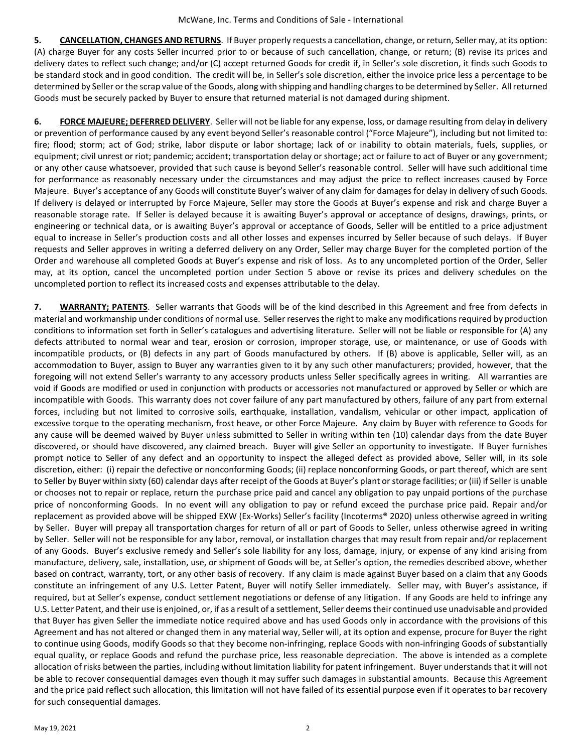**5. CANCELLATION, CHANGES AND RETURNS**. If Buyer properly requests a cancellation, change, or return, Seller may, at its option: (A) charge Buyer for any costs Seller incurred prior to or because of such cancellation, change, or return; (B) revise its prices and delivery dates to reflect such change; and/or (C) accept returned Goods for credit if, in Seller's sole discretion, it finds such Goods to be standard stock and in good condition. The credit will be, in Seller's sole discretion, either the invoice price less a percentage to be determined by Seller or the scrap value of the Goods, along with shipping and handling charges to be determined by Seller. All returned Goods must be securely packed by Buyer to ensure that returned material is not damaged during shipment.

**6. FORCE MAJEURE; DEFERRED DELIVERY**. Seller will not be liable for any expense, loss, or damage resulting from delay in delivery or prevention of performance caused by any event beyond Seller's reasonable control ("Force Majeure"), including but not limited to: fire; flood; storm; act of God; strike, labor dispute or labor shortage; lack of or inability to obtain materials, fuels, supplies, or equipment; civil unrest or riot; pandemic; accident; transportation delay or shortage; act or failure to act of Buyer or any government; or any other cause whatsoever, provided that such cause is beyond Seller's reasonable control. Seller will have such additional time for performance as reasonably necessary under the circumstances and may adjust the price to reflect increases caused by Force Majeure. Buyer's acceptance of any Goods will constitute Buyer's waiver of any claim for damages for delay in delivery of such Goods. If delivery is delayed or interrupted by Force Majeure, Seller may store the Goods at Buyer's expense and risk and charge Buyer a reasonable storage rate. If Seller is delayed because it is awaiting Buyer's approval or acceptance of designs, drawings, prints, or engineering or technical data, or is awaiting Buyer's approval or acceptance of Goods, Seller will be entitled to a price adjustment equal to increase in Seller's production costs and all other losses and expenses incurred by Seller because of such delays. If Buyer requests and Seller approves in writing a deferred delivery on any Order, Seller may charge Buyer for the completed portion of the Order and warehouse all completed Goods at Buyer's expense and risk of loss. As to any uncompleted portion of the Order, Seller may, at its option, cancel the uncompleted portion under Section 5 above or revise its prices and delivery schedules on the uncompleted portion to reflect its increased costs and expenses attributable to the delay.

**7. WARRANTY; PATENTS**. Seller warrants that Goods will be of the kind described in this Agreement and free from defects in material and workmanship under conditions of normal use. Seller reserves the right to make any modifications required by production conditions to information set forth in Seller's catalogues and advertising literature. Seller will not be liable or responsible for (A) any defects attributed to normal wear and tear, erosion or corrosion, improper storage, use, or maintenance, or use of Goods with incompatible products, or (B) defects in any part of Goods manufactured by others. If (B) above is applicable, Seller will, as an accommodation to Buyer, assign to Buyer any warranties given to it by any such other manufacturers; provided, however, that the foregoing will not extend Seller's warranty to any accessory products unless Seller specifically agrees in writing. All warranties are void if Goods are modified or used in conjunction with products or accessories not manufactured or approved by Seller or which are incompatible with Goods. This warranty does not cover failure of any part manufactured by others, failure of any part from external forces, including but not limited to corrosive soils, earthquake, installation, vandalism, vehicular or other impact, application of excessive torque to the operating mechanism, frost heave, or other Force Majeure. Any claim by Buyer with reference to Goods for any cause will be deemed waived by Buyer unless submitted to Seller in writing within ten (10) calendar days from the date Buyer discovered, or should have discovered, any claimed breach. Buyer will give Seller an opportunity to investigate. If Buyer furnishes prompt notice to Seller of any defect and an opportunity to inspect the alleged defect as provided above, Seller will, in its sole discretion, either: (i) repair the defective or nonconforming Goods; (ii) replace nonconforming Goods, or part thereof, which are sent to Seller by Buyer within sixty (60) calendar days after receipt of the Goods at Buyer's plant or storage facilities; or (iii) if Seller is unable or chooses not to repair or replace, return the purchase price paid and cancel any obligation to pay unpaid portions of the purchase price of nonconforming Goods. In no event will any obligation to pay or refund exceed the purchase price paid. Repair and/or replacement as provided above will be shipped EXW (Ex-Works) Seller's facility (Incoterms® 2020) unless otherwise agreed in writing by Seller. Buyer will prepay all transportation charges for return of all or part of Goods to Seller, unless otherwise agreed in writing by Seller. Seller will not be responsible for any labor, removal, or installation charges that may result from repair and/or replacement of any Goods. Buyer's exclusive remedy and Seller's sole liability for any loss, damage, injury, or expense of any kind arising from manufacture, delivery, sale, installation, use, or shipment of Goods will be, at Seller's option, the remedies described above, whether based on contract, warranty, tort, or any other basis of recovery. If any claim is made against Buyer based on a claim that any Goods constitute an infringement of any U.S. Letter Patent, Buyer will notify Seller immediately. Seller may, with Buyer's assistance, if required, but at Seller's expense, conduct settlement negotiations or defense of any litigation. If any Goods are held to infringe any U.S. Letter Patent, and their use is enjoined, or, if as a result of a settlement, Seller deems their continued use unadvisable and provided that Buyer has given Seller the immediate notice required above and has used Goods only in accordance with the provisions of this Agreement and has not altered or changed them in any material way, Seller will, at its option and expense, procure for Buyer the right to continue using Goods, modify Goods so that they become non-infringing, replace Goods with non-infringing Goods of substantially equal quality, or replace Goods and refund the purchase price, less reasonable depreciation. The above is intended as a complete allocation of risks between the parties, including without limitation liability for patent infringement. Buyer understands that it will not be able to recover consequential damages even though it may suffer such damages in substantial amounts. Because this Agreement and the price paid reflect such allocation, this limitation will not have failed of its essential purpose even if it operates to bar recovery for such consequential damages.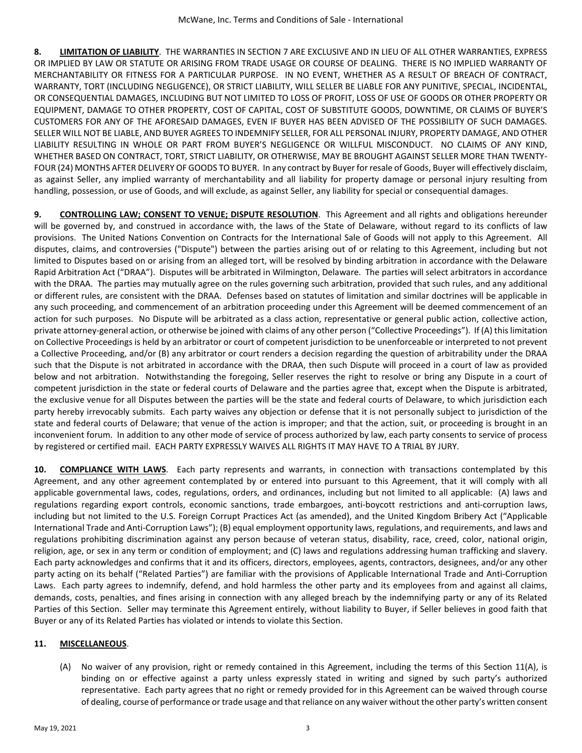**8. LIMITATION OF LIABILITY**. THE WARRANTIES IN SECTION 7 ARE EXCLUSIVE AND IN LIEU OF ALL OTHER WARRANTIES, EXPRESS OR IMPLIED BY LAW OR STATUTE OR ARISING FROM TRADE USAGE OR COURSE OF DEALING. THERE IS NO IMPLIED WARRANTY OF MERCHANTABILITY OR FITNESS FOR A PARTICULAR PURPOSE. IN NO EVENT, WHETHER AS A RESULT OF BREACH OF CONTRACT, WARRANTY, TORT (INCLUDING NEGLIGENCE), OR STRICT LIABILITY, WILL SELLER BE LIABLE FOR ANY PUNITIVE, SPECIAL, INCIDENTAL, OR CONSEQUENTIAL DAMAGES, INCLUDING BUT NOT LIMITED TO LOSS OF PROFIT, LOSS OF USE OF GOODS OR OTHER PROPERTY OR EQUIPMENT, DAMAGE TO OTHER PROPERTY, COST OF CAPITAL, COST OF SUBSTITUTE GOODS, DOWNTIME, OR CLAIMS OF BUYER'S CUSTOMERS FOR ANY OF THE AFORESAID DAMAGES, EVEN IF BUYER HAS BEEN ADVISED OF THE POSSIBILITY OF SUCH DAMAGES. SELLER WILL NOT BE LIABLE, AND BUYER AGREES TO INDEMNIFY SELLER, FOR ALL PERSONAL INJURY, PROPERTY DAMAGE, AND OTHER LIABILITY RESULTING IN WHOLE OR PART FROM BUYER'S NEGLIGENCE OR WILLFUL MISCONDUCT. NO CLAIMS OF ANY KIND, WHETHER BASED ON CONTRACT, TORT, STRICT LIABILITY, OR OTHERWISE, MAY BE BROUGHT AGAINST SELLER MORE THAN TWENTY-FOUR (24) MONTHS AFTER DELIVERY OF GOODS TO BUYER. In any contract by Buyer for resale of Goods, Buyer will effectively disclaim, as against Seller, any implied warranty of merchantability and all liability for property damage or personal injury resulting from handling, possession, or use of Goods, and will exclude, as against Seller, any liability for special or consequential damages.

**9. CONTROLLING LAW; CONSENT TO VENUE; DISPUTE RESOLUTION**. This Agreement and all rights and obligations hereunder will be governed by, and construed in accordance with, the laws of the State of Delaware, without regard to its conflicts of law provisions. The United Nations Convention on Contracts for the International Sale of Goods will not apply to this Agreement. All disputes, claims, and controversies ("Dispute") between the parties arising out of or relating to this Agreement, including but not limited to Disputes based on or arising from an alleged tort, will be resolved by binding arbitration in accordance with the Delaware Rapid Arbitration Act ("DRAA"). Disputes will be arbitrated in Wilmington, Delaware. The parties will select arbitrators in accordance with the DRAA. The parties may mutually agree on the rules governing such arbitration, provided that such rules, and any additional or different rules, are consistent with the DRAA. Defenses based on statutes of limitation and similar doctrines will be applicable in any such proceeding, and commencement of an arbitration proceeding under this Agreement will be deemed commencement of an action for such purposes. No Dispute will be arbitrated as a class action, representative or general public action, collective action, private attorney-general action, or otherwise be joined with claims of any other person ("Collective Proceedings"). If (A) this limitation on Collective Proceedings is held by an arbitrator or court of competent jurisdiction to be unenforceable or interpreted to not prevent a Collective Proceeding, and/or (B) any arbitrator or court renders a decision regarding the question of arbitrability under the DRAA such that the Dispute is not arbitrated in accordance with the DRAA, then such Dispute will proceed in a court of law as provided below and not arbitration. Notwithstanding the foregoing, Seller reserves the right to resolve or bring any Dispute in a court of competent jurisdiction in the state or federal courts of Delaware and the parties agree that, except when the Dispute is arbitrated, the exclusive venue for all Disputes between the parties will be the state and federal courts of Delaware, to which jurisdiction each party hereby irrevocably submits. Each party waives any objection or defense that it is not personally subject to jurisdiction of the state and federal courts of Delaware; that venue of the action is improper; and that the action, suit, or proceeding is brought in an inconvenient forum. In addition to any other mode of service of process authorized by law, each party consents to service of process by registered or certified mail. EACH PARTY EXPRESSLY WAIVES ALL RIGHTS IT MAY HAVE TO A TRIAL BY JURY.

**10. COMPLIANCE WITH LAWS**. Each party represents and warrants, in connection with transactions contemplated by this Agreement, and any other agreement contemplated by or entered into pursuant to this Agreement, that it will comply with all applicable governmental laws, codes, regulations, orders, and ordinances, including but not limited to all applicable: (A) laws and regulations regarding export controls, economic sanctions, trade embargoes, anti-boycott restrictions and anti-corruption laws, including but not limited to the U.S. Foreign Corrupt Practices Act (as amended), and the United Kingdom Bribery Act ("Applicable International Trade and Anti-Corruption Laws"); (B) equal employment opportunity laws, regulations, and requirements, and laws and regulations prohibiting discrimination against any person because of veteran status, disability, race, creed, color, national origin, religion, age, or sex in any term or condition of employment; and (C) laws and regulations addressing human trafficking and slavery. Each party acknowledges and confirms that it and its officers, directors, employees, agents, contractors, designees, and/or any other party acting on its behalf ("Related Parties") are familiar with the provisions of Applicable International Trade and Anti-Corruption Laws. Each party agrees to indemnify, defend, and hold harmless the other party and its employees from and against all claims, demands, costs, penalties, and fines arising in connection with any alleged breach by the indemnifying party or any of its Related Parties of this Section. Seller may terminate this Agreement entirely, without liability to Buyer, if Seller believes in good faith that Buyer or any of its Related Parties has violated or intends to violate this Section.

## **11. MISCELLANEOUS**.

(A) No waiver of any provision, right or remedy contained in this Agreement, including the terms of this Section 11(A), is binding on or effective against a party unless expressly stated in writing and signed by such party's authorized representative. Each party agrees that no right or remedy provided for in this Agreement can be waived through course of dealing, course of performance or trade usage and that reliance on any waiver without the other party's written consent